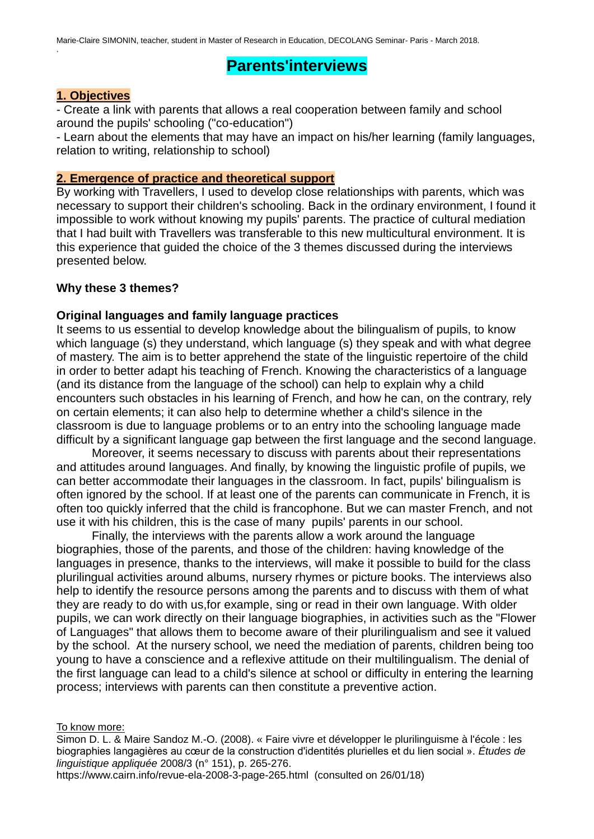# **Parents'interviews**

## **1. Objectives**

.

- Create a link with parents that allows a real cooperation between family and school around the pupils' schooling ("co-education")

- Learn about the elements that may have an impact on his/her learning (family languages, relation to writing, relationship to school)

#### **2. Emergence of practice and theoretical support**

By working with Travellers, I used to develop close relationships with parents, which was necessary to support their children's schooling. Back in the ordinary environment, I found it impossible to work without knowing my pupils' parents. The practice of cultural mediation that I had built with Travellers was transferable to this new multicultural environment. It is this experience that guided the choice of the 3 themes discussed during the interviews presented below.

## **Why these 3 themes?**

#### **Original languages and family language practices**

It seems to us essential to develop knowledge about the bilingualism of pupils, to know which language (s) they understand, which language (s) they speak and with what degree of mastery. The aim is to better apprehend the state of the linguistic repertoire of the child in order to better adapt his teaching of French. Knowing the characteristics of a language (and its distance from the language of the school) can help to explain why a child encounters such obstacles in his learning of French, and how he can, on the contrary, rely on certain elements; it can also help to determine whether a child's silence in the classroom is due to language problems or to an entry into the schooling language made difficult by a significant language gap between the first language and the second language.

Moreover, it seems necessary to discuss with parents about their representations and attitudes around languages. And finally, by knowing the linguistic profile of pupils, we can better accommodate their languages in the classroom. In fact, pupils' bilingualism is often ignored by the school. If at least one of the parents can communicate in French, it is often too quickly inferred that the child is francophone. But we can master French, and not use it with his children, this is the case of many pupils' parents in our school.

Finally, the interviews with the parents allow a work around the language biographies, those of the parents, and those of the children: having knowledge of the languages in presence, thanks to the interviews, will make it possible to build for the class plurilingual activities around albums, nursery rhymes or picture books. The interviews also help to identify the resource persons among the parents and to discuss with them of what they are ready to do with us,for example, sing or read in their own language. With older pupils, we can work directly on their language biographies, in activities such as the "Flower of Languages" that allows them to become aware of their plurilingualism and see it valued by the school. At the nursery school, we need the mediation of parents, children being too young to have a conscience and a reflexive attitude on their multilingualism. The denial of the first language can lead to a child's silence at school or difficulty in entering the learning process; interviews with parents can then constitute a preventive action.

#### To know more:

Simon D. L. & Maire Sandoz M.-O. (2008). « Faire vivre et développer le plurilinguisme à l'école : les biographies langagières au cœur de la construction d'identités plurielles et du lien social ». *Études de linguistique appliquée* 2008/3 (n° 151), p. 265-276.

<https://www.cairn.info/revue-ela-2008-3-page-265.html>(consulted on 26/01/18)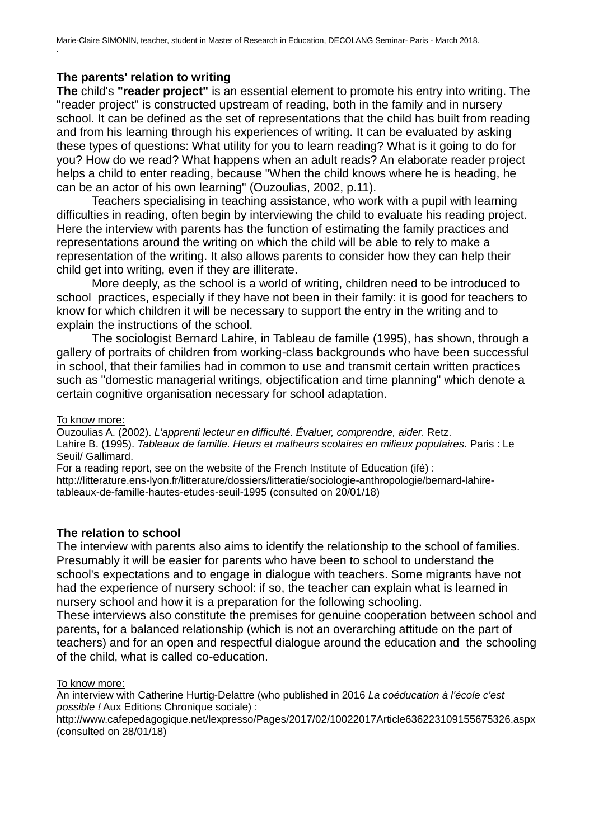## **The parents' relation to writing**

.

**The** child's **"reader project"** is an essential element to promote his entry into writing. The "reader project" is constructed upstream of reading, both in the family and in nursery school. It can be defined as the set of representations that the child has built from reading and from his learning through his experiences of writing. It can be evaluated by asking these types of questions: What utility for you to learn reading? What is it going to do for you? How do we read? What happens when an adult reads? An elaborate reader project helps a child to enter reading, because "When the child knows where he is heading, he can be an actor of his own learning" (Ouzoulias, 2002, p.11).

Teachers specialising in teaching assistance, who work with a pupil with learning difficulties in reading, often begin by interviewing the child to evaluate his reading project. Here the interview with parents has the function of estimating the family practices and representations around the writing on which the child will be able to rely to make a representation of the writing. It also allows parents to consider how they can help their child get into writing, even if they are illiterate.

More deeply, as the school is a world of writing, children need to be introduced to school practices, especially if they have not been in their family: it is good for teachers to know for which children it will be necessary to support the entry in the writing and to explain the instructions of the school.

The sociologist Bernard Lahire, in Tableau de famille (1995), has shown, through a gallery of portraits of children from working-class backgrounds who have been successful in school, that their families had in common to use and transmit certain written practices such as "domestic managerial writings, objectification and time planning" which denote a certain cognitive organisation necessary for school adaptation.

#### To know more:

Ouzoulias A. (2002). *L'apprenti lecteur en difficulté. Évaluer, comprendre, aider.* Retz. Lahire B. (1995). *Tableaux de famille. Heurs et malheurs scolaires en milieux populaires*. Paris : Le Seuil/ Gallimard.

For a reading report, see on the website of the French Institute of Education (ifé) : [http://litterature.ens-lyon.fr/litterature/dossiers/litteratie/sociologie-anthropologie/bernard-lahire](http://litterature.ens-lyon.fr/litterature/dossiers/litteratie/sociologie-anthropologie/bernard-lahire-tableaux-de-famille-haut)[tableaux-de-famille-hautes-etudes-seuil-1995](http://litterature.ens-lyon.fr/litterature/dossiers/litteratie/sociologie-anthropologie/bernard-lahire-tableaux-de-famille-haut) (consulted on 20/01/18)

## **The relation to school**

The interview with parents also aims to identify the relationship to the school of families. Presumably it will be easier for parents who have been to school to understand the school's expectations and to engage in dialogue with teachers. Some migrants have not had the experience of nursery school: if so, the teacher can explain what is learned in nursery school and how it is a preparation for the following schooling.

These interviews also constitute the premises for genuine cooperation between school and parents, for a balanced relationship (which is not an overarching attitude on the part of teachers) and for an open and respectful dialogue around the education and the schooling of the child, what is called co-education.

#### To know more:

An interview with Catherine Hurtig-Delattre (who published in 2016 *La coéducation à l'école c'est possible !* Aux Editions Chronique sociale) :

<http://www.cafepedagogique.net/lexpresso/Pages/2017/02/10022017Article636223109155675326.aspx> (consulted on 28/01/18)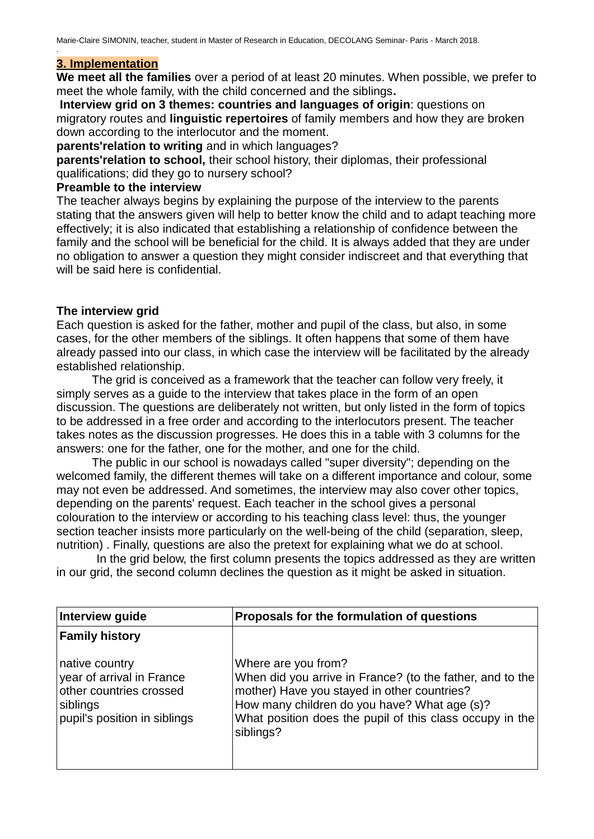## **3. Implementation**

.

**We meet all the families** over a period of at least 20 minutes. When possible, we prefer to meet the whole family, with the child concerned and the siblings**.**

**Interview grid on 3 themes: countries and languages of origin**: questions on migratory routes and **linguistic repertoires** of family members and how they are broken down according to the interlocutor and the moment.

**parents'relation to writing** and in which languages?

**parents'relation to school,** their school history, their diplomas, their professional qualifications; did they go to nursery school?

## **Preamble to the interview**

The teacher always begins by explaining the purpose of the interview to the parents stating that the answers given will help to better know the child and to adapt teaching more effectively; it is also indicated that establishing a relationship of confidence between the family and the school will be beneficial for the child. It is always added that they are under no obligation to answer a question they might consider indiscreet and that everything that will be said here is confidential.

## **The interview grid**

Each question is asked for the father, mother and pupil of the class, but also, in some cases, for the other members of the siblings. It often happens that some of them have already passed into our class, in which case the interview will be facilitated by the already established relationship.

The grid is conceived as a framework that the teacher can follow very freely, it simply serves as a guide to the interview that takes place in the form of an open discussion. The questions are deliberately not written, but only listed in the form of topics to be addressed in a free order and according to the interlocutors present. The teacher takes notes as the discussion progresses. He does this in a table with 3 columns for the answers: one for the father, one for the mother, and one for the child.

The public in our school is nowadays called "super diversity"; depending on the welcomed family, the different themes will take on a different importance and colour, some may not even be addressed. And sometimes, the interview may also cover other topics, depending on the parents' request. Each teacher in the school gives a personal colouration to the interview or according to his teaching class level: thus, the younger section teacher insists more particularly on the well-being of the child (separation, sleep, nutrition) . Finally, questions are also the pretext for explaining what we do at school.

 In the grid below, the first column presents the topics addressed as they are written in our grid, the second column declines the question as it might be asked in situation.

| Interview guide                                                                                                    | Proposals for the formulation of questions                                                                                                                                                                                                               |
|--------------------------------------------------------------------------------------------------------------------|----------------------------------------------------------------------------------------------------------------------------------------------------------------------------------------------------------------------------------------------------------|
| <b>Family history</b>                                                                                              |                                                                                                                                                                                                                                                          |
| native country<br>year of arrival in France<br>other countries crossed<br>siblings<br>pupil's position in siblings | Where are you from?<br>When did you arrive in France? (to the father, and to the<br>mother) Have you stayed in other countries?<br>How many children do you have? What age (s)?<br>What position does the pupil of this class occupy in the<br>siblings? |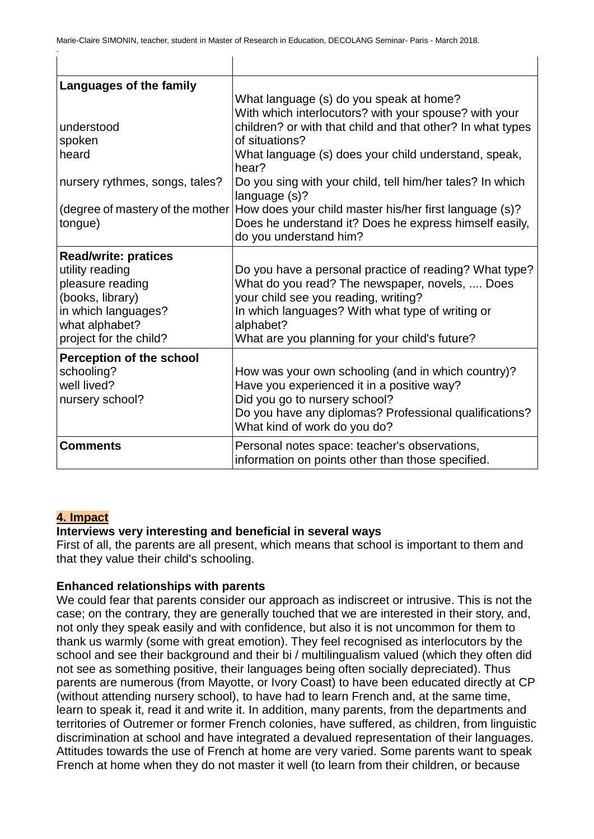$\mathbf{I}$ 

 $\mathbf{I}$ 

| Languages of the family          |                                                                                                    |
|----------------------------------|----------------------------------------------------------------------------------------------------|
|                                  | What language (s) do you speak at home?                                                            |
|                                  | With which interlocutors? with your spouse? with your                                              |
| understood                       | children? or with that child and that other? In what types                                         |
| spoken                           | of situations?                                                                                     |
| heard                            | What language (s) does your child understand, speak,<br>hear?                                      |
| nursery rythmes, songs, tales?   | Do you sing with your child, tell him/her tales? In which<br>language (s)?                         |
| (degree of mastery of the mother | How does your child master his/her first language (s)?                                             |
| tongue)                          | Does he understand it? Does he express himself easily,                                             |
|                                  | do you understand him?                                                                             |
| <b>Read/write: pratices</b>      |                                                                                                    |
| utility reading                  | Do you have a personal practice of reading? What type?                                             |
| pleasure reading                 | What do you read? The newspaper, novels,  Does                                                     |
| (books, library)                 | your child see you reading, writing?                                                               |
| in which languages?              | In which languages? With what type of writing or                                                   |
| what alphabet?                   | alphabet?                                                                                          |
| project for the child?           | What are you planning for your child's future?                                                     |
| <b>Perception of the school</b>  |                                                                                                    |
| schooling?                       | How was your own schooling (and in which country)?                                                 |
| well lived?                      | Have you experienced it in a positive way?                                                         |
| nursery school?                  | Did you go to nursery school?                                                                      |
|                                  | Do you have any diplomas? Professional qualifications?                                             |
|                                  | What kind of work do you do?                                                                       |
| <b>Comments</b>                  | Personal notes space: teacher's observations,<br>information on points other than those specified. |

## **4. Impact**

.

## **Interviews very interesting and beneficial in several ways**

First of all, the parents are all present, which means that school is important to them and that they value their child's schooling.

## **Enhanced relationships with parents**

We could fear that parents consider our approach as indiscreet or intrusive. This is not the case; on the contrary, they are generally touched that we are interested in their story, and, not only they speak easily and with confidence, but also it is not uncommon for them to thank us warmly (some with great emotion). They feel recognised as interlocutors by the school and see their background and their bi / multilingualism valued (which they often did not see as something positive, their languages being often socially depreciated). Thus parents are numerous (from Mayotte, or Ivory Coast) to have been educated directly at CP (without attending nursery school), to have had to learn French and, at the same time, learn to speak it, read it and write it. In addition, many parents, from the departments and territories of Outremer or former French colonies, have suffered, as children, from linguistic discrimination at school and have integrated a devalued representation of their languages. Attitudes towards the use of French at home are very varied. Some parents want to speak French at home when they do not master it well (to learn from their children, or because